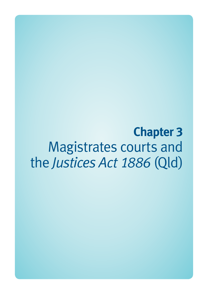**Chapter 3**  Magistrates courts and the *Justices Act 1886* (Qld)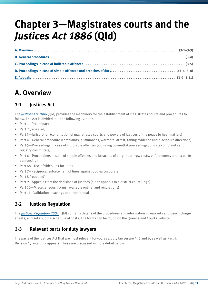# **Chapter 3—Magistrates courts and the**  *Justices Act 1886* **(Qld)**

# **A. Overview**

### **3-1 Justices Act**

The *[Justices Act 1886](http://www.legislation.qld.gov.au/LEGISLTN/CURRENT/J/JusticeA1886.pdf)* (Qld) provides the machinery for the establishment of magistrates courts and procedures to follow. The Act is divided into the following 12 parts:

- Part 1—Preliminary
- Part 2 (repealed)
- Part 3—Jurisdiction (constitution of magistrates courts and powers of justices of the peace to hear matters)
- Part 4—General procedure (complaints, summonses, warrants, arrest, taking evidence and disclosure directions)
- Part 5—Proceedings in case of indictable offences (including committal proceedings, private complaints and registry committals)
- Part 6—Proceedings in case of simple offences and breaches of duty (hearings, costs, enforcement, and ex parte sentencing)
- Part 6A—Use of video link facilities
- Part 7—Reciprocal enforcement of fines against bodies corporate
- Part 8 (repealed)
- Part 9—Appeals from the decisions of justices (s 222 appeals to a district court judge)
- Part 10—Miscellaneous (forms [available online] and regulations)
- Part 11—Validations, savings and transitional

### **3-2 Justices Regulation**

The *[Justices Regulation 2004](http://www.legislation.qld.gov.au/LEGISLTN/CURRENT/J/JusticeR04.pdf)* (Qld) contains details of the procedures and information in warrants and bench charge sheets, and sets out the schedule of costs. The forms can be found on the Queensland Courts website.

#### **3-3 Relevant parts for duty lawyers**

The parts of the Justices Act that are most relevant for you as a duty lawyer are 4, 5 and 6, as well as Part 9, Division 1, regarding appeals. These are discussed in more detail below.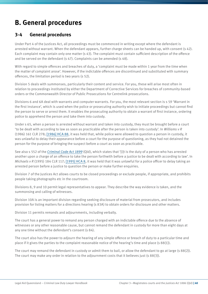# **B. General procedures**

#### **3-4 General procedures**

Under Part 4 of the Justices Act, all proceedings must be commenced in writing except where the defendant is arrested without warrant. When the defendant appears, further charge sheets can be handed up, with consent (s 42). Each complaint may contain only one matter (s 43). The complaint must contain sufficient description of the offence and be served on the defendant (s 47). Complaints can be amended (s 48).

With regard to simple offences and breaches of duty, a 'complaint must be made within 1 year from the time when the matter of complaint arose'. However, if the indictable offences are discontinued and substituted with summary offences, the limitation period is two years (s 52).

Division 5 deals with summonses, particularly their content and service. For you, these will arise most often in relation to proceedings instituted by either the Department of Corrective Services for breaches of community-based orders or the Commonwealth Director of Public Prosecutions for Centrelink prosecutions.

Divisions 6 and 6A deal with warrants and computer warrants. For you, the most relevant section is s 59 'Warrant in the first instance', which is used when the police or prosecuting authority wish to initiate proceedings but cannot find the person to serve or arrest them. It enables the prosecuting authority to obtain a warrant of first instance, ordering police to apprehend the person and take them into custody.

Under s 65, when a person is arrested without warrant and taken into custody, they must be brought before a court 'to be dealt with according to law as soon as practicable after the person is taken into custody'. In *Williams v R* (1986) 161 CLR 278; [\[1986\] HCA 88](http://www.austlii.edu.au/au/cases/cth/HCA/1986/88.html), it was held that, while police were allowed to question a person in custody, it was unlawful to delay their appearance before a court for the purpose of questioning, as they had not detained the person for the purpose of bringing the suspect before a court as soon as practicable.

See also s 552 of the *[Criminal Code Act 1899](http://www.legislation.qld.gov.au/LEGISLTN/CURRENT/C/CriminCode.pdf)* (Qld), which states that '[i]t is the duty of a person who has arrested another upon a charge of an offence to take the person forthwith before a justice to be dealt with according to law'. In *Michaels v R* (1995) 184 CLR 117; [\[1995\] HCA 8,](http://www.austlii.edu.au/au/cases/cth/HCA/1995/8.html) it was held that it was unlawful for a police officer to delay taking an arrested person before a justice to question the person or make further enquiries.

Division 7 of the Justices Act allows courts to be closed proceedings or exclude people, if appropriate, and prohibits people taking photographs etc in the courtroom.

Divisions 8, 9 and 10 permit legal representatives to appear. They describe the way evidence is taken, and the summonsing and calling of witnesses.

Division 10A is an important division regarding seeking disclosure of material from prosecutors, and includes provision for listing matters for a directions hearing (s 83A) to obtain orders for disclosure and other matters.

Division 11 permits remands and adjournments, including verbally.

The court has a general power to remand any person charged with an indictable offence due to the absence of witnesses or any other reasonable cause, but cannot remand the defendant in custody for more than eight days at any one time without the defendant's consent (s 84).

The court also has the power to adjourn the hearing of any simple offence or breach of duty to a particular time and place if it gives the parties to the complaint reasonable notice of the hearing's time and place (s 88(1)).

The court may remand the defendant in custody or admit them to bail, or allow the defendant to go at large (s 88(2)). The court may make any order in relation to the adjournment costs that it believes just (s 88(3)).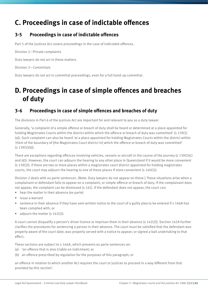# **C. Proceedings in case of indictable offences**

#### **3-5 Proceedings in case of indictable offences**

Part 5 of the Justices Act covers proceedings in the case of indictable offences.

Division 2—Private complaints

Duty lawyers do not act in these matters.

Division 3—Committals

Duty lawyers do not act in committal proceedings, even for a full hand-up committal.

# **D. Proceedings in case of simple offences and breaches of duty**

#### **3-6 Proceedings in case of simple offences and breaches of duty**

The divisions in Part 6 of the Justices Act are important for and relevant to you as a duty lawyer.

Generally, 'a complaint of a simple offence or breach of duty shall be heard or determined at a place appointed for holding Magistrates Courts within the district within which the offence or breach of duty was committed' (s 139(1) (a)). Such complaint can also be heard 'at a place appointed for holding Magistrates Courts within the district within 35km of the boundary of [the Magistrates Court district in] which the offence or breach of duty was committed'  $(s 139(1)(b)).$ 

There are exceptions regarding offences involving vehicles, vessels or aircraft in the course of the journey (s  $139(1)(c)$ ) and (d)). However, the court can adjourn the hearing to any other place in Queensland if it would be more convenient (s 139(2)). If there are two or more places within a magistrates court district appointed for holding magistrates courts, the court may adjourn the hearing to one of these places if more convenient (s 140(1)).

Division 2 deals with ex parte sentences. (Note: Duty lawyers do not appear on these.) These situations arise when a complainant or defendant fails to appear on a complaint, or simple offence or breach of duty. If the complainant does not appear, the complaint can be dismissed (s 141). If the defendant does not appear, the court can:

- hear the matter in their absence (ex parte)
- issue a warrant
- sentence in their absence if they have sent written notice to the court of a guilty plea to be entered if s 146A has been complied with, or
- adjourn the matter  $(s 142(1))$ .

A court cannot disqualify a person's driver licence or imprison them in their absence (s 142(2)). Section 142A further clarifies the procedures for sentencing a person in their absence. The court must be satisfied that the defendant was properly aware of the court date; was properly served with a notice to appear; or signed a bail undertaking to that effect.

These sections are subject to s 146A, which prevents ex parte sentences on:

- (a) 'an offence that is also triable on indictment; or
- (b) an offence prescribed by regulation for the purposes of this paragraph; or

an offence in relation to which another Act requires the court or justices to proceed in a way different from that provided by this section'.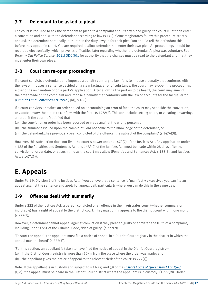### **3-7 Defendant to be asked to plead**

The court is required to ask the defendant to plead to a complaint and, if they plead guilty, the court must then enter a conviction and deal with the defendant according to law (s 145). Some magistrates follow this procedure strictly and ask the defendant personally, rather than the duty lawyer, for their plea. You should tell the defendant this before they appear in court. You are required to allow defendants to enter their own plea. All proceedings should be recorded electronically, which prevents difficulties later regarding whether the defendant's plea was voluntary. See *Brown v Qld Police Service* [\[2011\] QDC 301](http://archive.sclqld.org.au/qjudgment/2006/QCA06-123.pdf) for authority that the charges must be read to the defendant and that they must enter their own pleas.

#### **3-8 Court can re-open proceedings**

If a court convicts a defendant and imposes a penalty contrary to law; fails to impose a penalty that conforms with the law; or imposes a sentence decided on a clear factual error of substance, the court may re-open the proceedings either of its own motion or on a party's application. After allowing the parties to be heard, the court may amend the order made on the complaint and impose a penalty that conforms with the law or accounts for the factual error (*[Penalties and Sentences Act 1992](http://www.legislation.qld.gov.au/LEGISLTN/CURRENT/P/PenaltASenA92.pdf)* (Qld), s 188).

If a court convicts or makes an order based on or containing an error of fact, the court may set aside the conviction, or vacate or vary the order, to conform with the facts (s 147A(2). This can include setting aside, or vacating or varying, an order if the court is 'satisfied that—

- (a) the conviction or order has been recorded or made against the wrong person; or
- (b) the summons issued upon the complaint…did not come to the knowledge of the defendant; or
- (c) the defendant…has previously been convicted of the offence, the subject of the complaint' (s 147A(3)).

However, this subsection does not limit the court's power under s 147A(2) of the Justices Act. Any application under s 188 of the Penalties and Sentences Act or s 147A(2) of the Justices Act must be made within 28 days after the conviction or order date, or at such time as the court may allow (Penalties and Sentences Act, s 188(5), and Justices Act, s 147A(5)).

# **E. Appeals**

Under Part 9, Division 1 of the Justices Act, if you believe that a sentence is 'manifestly excessive', you can file an appeal against the sentence and apply for appeal bail, particularly where you can do this in the same day.

### **3-9 Offences dealt with summarily**

Under s 222 of the Justices Act, a person convicted of an offence in the magistrates court (whether summary or indictable) has a right of appeal to the district court. They must bring appeals to the district court within one month  $(s 222(1)).$ 

However, a defendant cannot appeal against conviction if they pleaded guilty or admitted the truth of a complaint, including under s 651 of the Criminal Code, 'Plea of guilty' (s 222(2)).

'To start the appeal, the appellant must file a notice of appeal in a District Court registry in the district in which the appeal must be heard' (s 222(3)).

'For this section, an appellant is taken to have filed the notice of appeal in the District Court registry—

- (a) if the District Court registry is more than 50km from the place where the order was made; and
- (b) the appellant gives the notice of appeal to the relevant clerk of the court' (s  $222(4)$ ).

Note: If the appellant is in custody and subject to s 116(2) and (3) of the *[District Court of Queensland Act 1967](http://www.legislation.qld.gov.au/LEGISLTN/CURRENT/D/DistrictCtA67.pdf)* (Qld), 'the appeal must be heard in the District Court district where the appellant is in custody' (s 222(9)). Under